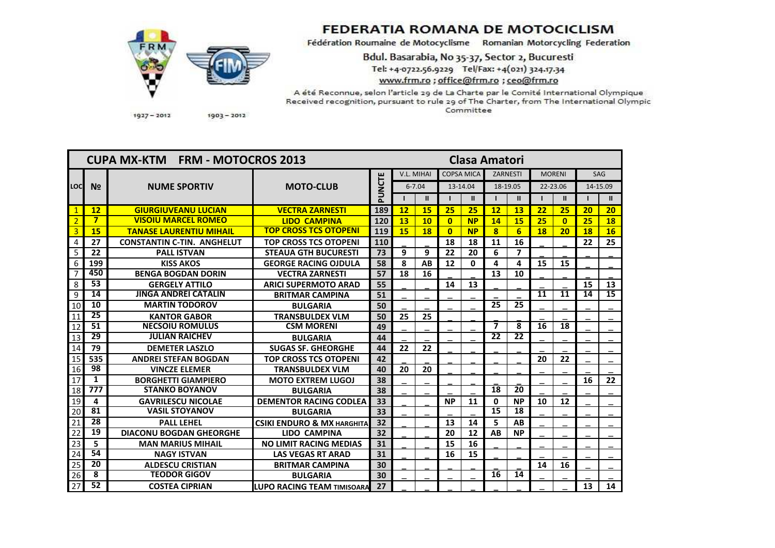

## **FEDERATIA ROMANA DE MOTOCICLISM**

Fédération Roumaine de Motocyclisme Romanian Motorcycling Federation

Bdul. Basarabia, No 35-37, Sector 2, Bucuresti Tel: +4-0722.56.9229 Tel/Fax: +4(021) 324.17.34 www.frm.ro; office@frm.ro; ceo@frm.ro

A été Reconnue, selon l'article 29 de La Charte par le Comité International Olympique Received recognition, pursuant to rule 29 of The Charter, from The International Olympic Committee

 $1927 - 2012$ 

 $1903 - 2012$ 

| <b>CUPA MX-KTM FRM - MOTOCROS 2013</b> |                 |                                   |                                       |        |            | <b>Clasa Amatori</b> |                   |               |                         |                          |               |              |            |                 |  |
|----------------------------------------|-----------------|-----------------------------------|---------------------------------------|--------|------------|----------------------|-------------------|---------------|-------------------------|--------------------------|---------------|--------------|------------|-----------------|--|
|                                        | N <sub>2</sub>  | <b>NUME SPORTIV</b>               | <b>MOTO-CLUB</b>                      |        | V.L. MIHAI |                      | <b>COPSA MICA</b> |               | <b>ZARNESTI</b>         |                          | <b>MORENI</b> |              | <b>SAG</b> |                 |  |
| LOCI                                   |                 |                                   |                                       | PUNCTE | $6 - 7.04$ |                      | 13-14.04          |               | 18-19.05                |                          | 22-23.06      |              | 14-15.09   |                 |  |
|                                        |                 |                                   |                                       |        |            | $\mathbf{II}$        |                   | $\mathbf{II}$ |                         | $\mathbf{u}$             |               | $\mathbf{I}$ |            | $\mathbf{u}$    |  |
| $\mathbf{1}$                           | 12              | <b>GIURGIUVEANU LUCIAN</b>        | <b>VECTRA ZARNESTI</b>                | 189    | 12         | 15                   | 25                | 25            | 12                      | <b>13</b>                | 22            | 25           | 20         | 20              |  |
| $\overline{2}$                         | $\overline{7}$  | <b>VISOIU MARCEL ROMEO</b>        | <b>LIDO CAMPINA</b>                   | 120    | 13         | 10                   | $\mathbf{0}$      | <b>NP</b>     | 14                      | 15                       | 25            | $\mathbf{0}$ | 25         | 18              |  |
| $\overline{3}$                         | 15              | <b>TANASE LAURENTIU MIHAIL</b>    | <b>TOP CROSS TCS OTOPENI</b>          | 119    | 15         | 18                   | $\mathbf{0}$      | <b>NP</b>     | $\overline{\mathbf{8}}$ | 6                        | <b>18</b>     | 20           | 18         | 16              |  |
| $\overline{4}$                         | 27              | <b>CONSTANTIN C-TIN. ANGHELUT</b> | <b>TOP CROSS TCS OTOPENI</b>          | 110    |            |                      | 18                | 18            | 11                      | 16                       |               |              | 22         | 25              |  |
| 5                                      | 22              | <b>PALL ISTVAN</b>                | <b>STEAUA GTH BUCURESTI</b>           | 73     | 9          | 9                    | 22                | 20            | 6                       | $\overline{\phantom{a}}$ |               |              |            |                 |  |
| 6                                      | 199             | <b>KISS AKOS</b>                  | <b>GEORGE RACING OJDULA</b>           | 58     | 8          | AB                   | 12                | $\mathbf{0}$  | 4                       | 4                        | 15            | 15           |            |                 |  |
| $\overline{7}$                         | 450             | <b>BENGA BOGDAN DORIN</b>         | <b>VECTRA ZARNESTI</b>                | 57     | 18         | 16                   |                   |               | 13                      | 10                       |               |              |            |                 |  |
| 8                                      | $\overline{53}$ | <b>GERGELY ATTILO</b>             | <b>ARICI SUPERMOTO ARAD</b>           | 55     |            |                      | 14                | 13            |                         |                          |               |              | 15         | 13              |  |
| 9                                      | 14              | <b>JINGA ANDREI CATALIN</b>       | <b>BRITMAR CAMPINA</b>                | 51     |            |                      |                   |               |                         |                          | 11            | 11           | 14         | $\overline{15}$ |  |
| 10                                     | 10              | <b>MARTIN TODOROV</b>             | <b>BULGARIA</b>                       | 50     |            |                      |                   |               | $\overline{25}$         | 25                       |               |              |            |                 |  |
| 11                                     | 25              | <b>KANTOR GABOR</b>               | <b>TRANSBULDEX VLM</b>                | 50     | 25         | 25                   |                   |               |                         |                          |               |              |            |                 |  |
| 12                                     | 51              | <b>NECSOIU ROMULUS</b>            | <b>CSM MORENI</b>                     | 49     |            |                      |                   |               | $\overline{\mathbf{z}}$ | 8                        | 16            | 18           |            |                 |  |
| 13                                     | 29              | <b>JULIAN RAICHEV</b>             | <b>BULGARIA</b>                       | 44     |            |                      |                   |               | 22                      | 22                       |               |              |            |                 |  |
| 14                                     | 79              | <b>DEMETER LASZLO</b>             | <b>SUGAS SF. GHEORGHE</b>             | 44     | 22         | 22                   |                   |               |                         |                          |               |              |            |                 |  |
| 15                                     | 535             | <b>ANDREI STEFAN BOGDAN</b>       | <b>TOP CROSS TCS OTOPENI</b>          | 42     |            |                      |                   |               |                         |                          | 20            | 22           |            |                 |  |
| 16                                     | 98              | <b>VINCZE ELEMER</b>              | <b>TRANSBULDEX VLM</b>                | 40     | 20         | 20                   |                   |               |                         |                          |               |              |            |                 |  |
| 17                                     | 1               | <b>BORGHETTI GIAMPIERO</b>        | <b>MOTO EXTREM LUGOJ</b>              | 38     |            |                      |                   |               |                         |                          |               |              | 16         | 22              |  |
| 18                                     | 777             | <b>STANKO BOYANOV</b>             | <b>BULGARIA</b>                       | 38     |            |                      |                   |               | 18                      | 20                       |               |              |            |                 |  |
| 19                                     | 4               | <b>GAVRILESCU NICOLAE</b>         | <b>DEMENTOR RACING CODLEA</b>         | 33     |            |                      | <b>NP</b>         | 11            | 0                       | <b>NP</b>                | 10            | 12           |            |                 |  |
| 20                                     | 81              | <b>VASIL STOYANOV</b>             | <b>BULGARIA</b>                       | 33     |            |                      |                   |               | 15                      | 18                       |               |              |            |                 |  |
| 21                                     | 28              | <b>PALL LEHEL</b>                 | <b>CSIKI ENDURO &amp; MX HARGHITA</b> | 32     |            |                      | 13                | 14            | 5                       | AB                       |               |              |            |                 |  |
| 22                                     | 19              | <b>DIACONU BOGDAN GHEORGHE</b>    | <b>LIDO CAMPINA</b>                   | 32     |            |                      | 20                | 12            | AB                      | <b>NP</b>                |               |              |            |                 |  |
| 23                                     | 5               | <b>MAN MARIUS MIHAIL</b>          | <b>NO LIMIT RACING MEDIAS</b>         | 31     |            |                      | 15                | 16            |                         |                          |               |              |            |                 |  |
| 24                                     | $\overline{54}$ | <b>NAGY ISTVAN</b>                | <b>LAS VEGAS RT ARAD</b>              | 31     |            |                      | 16                | 15            |                         |                          |               |              |            |                 |  |
| $\overline{25}$                        | 20              | <b>ALDESCU CRISTIAN</b>           | <b>BRITMAR CAMPINA</b>                | 30     |            |                      |                   |               |                         |                          | 14            | 16           |            |                 |  |
| 26                                     | 8               | <b>TEODOR GIGOV</b>               | <b>BULGARIA</b>                       | 30     |            |                      |                   |               | 16                      | 14                       |               |              |            |                 |  |
| 27                                     | $\overline{52}$ | <b>COSTEA CIPRIAN</b>             | <b>LUPO RACING TEAM TIMISOARA</b>     | 27     |            |                      |                   |               |                         |                          |               |              | 13         | 14              |  |